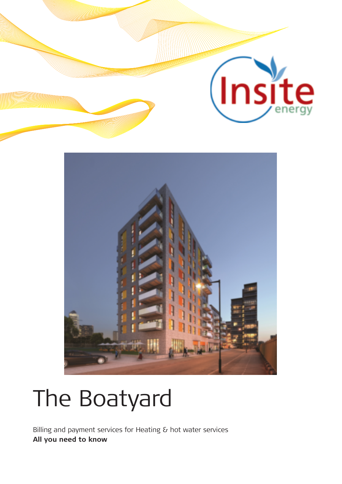

# The Boatyard

Billing and payment services for Heating & hot water services **All you need to know**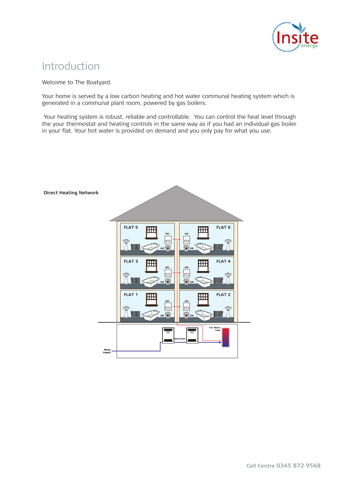

## Introduction

Welcome to The Boatyard.

Your home is served by a low carbon heating and hot water communal heating system which is generated in a communal plant room, powered by gas boilers.

 Your heating system is robust, reliable and controllable. You can control the heat level through the your thermostat and heating controls in the same way as if you had an individual gas boiler in your flat. Your hot water is provided on demand and you only pay for what you use.

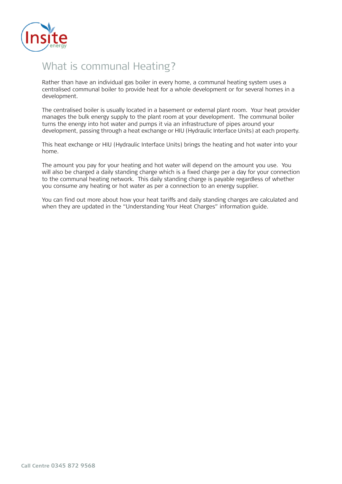

# What is communal Heating?

Rather than have an individual gas boiler in every home, a communal heating system uses a centralised communal boiler to provide heat for a whole development or for several homes in a development.

The centralised boiler is usually located in a basement or external plant room. Your heat provider manages the bulk energy supply to the plant room at your development. The communal boiler turns the energy into hot water and pumps it via an infrastructure of pipes around your development, passing through a heat exchange or HIU (Hydraulic Interface Units) at each property.

This heat exchange or HIU (Hydraulic Interface Units) brings the heating and hot water into your home.

The amount you pay for your heating and hot water will depend on the amount you use. You will also be charged a daily standing charge which is a fixed charge per a day for your connection to the communal heating network. This daily standing charge is payable regardless of whether you consume any heating or hot water as per a connection to an energy supplier.

You can find out more about how your heat tariffs and daily standing charges are calculated and when they are updated in the "Understanding Your Heat Charges" information guide.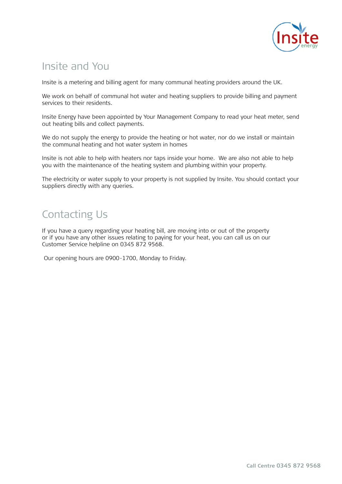

## Insite and You

Insite is a metering and billing agent for many communal heating providers around the UK.

We work on behalf of communal hot water and heating suppliers to provide billing and payment services to their residents.

Insite Energy have been appointed by Your Management Company to read your heat meter, send out heating bills and collect payments.

We do not supply the energy to provide the heating or hot water, nor do we install or maintain the communal heating and hot water system in homes

Insite is not able to help with heaters nor taps inside your home. We are also not able to help you with the maintenance of the heating system and plumbing within your property.

The electricity or water supply to your property is not supplied by Insite. You should contact your suppliers directly with any queries.

# Contacting Us

If you have a query regarding your heating bill, are moving into or out of the property or if you have any other issues relating to paying for your heat, you can call us on our Customer Service helpline on 0345 872 9568.

Our opening hours are 0900-1700, Monday to Friday.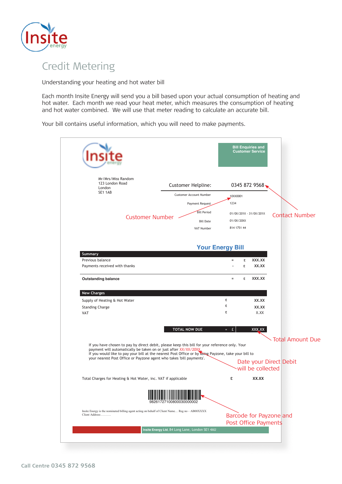

# Credit Metering

Understanding your heating and hot water bill

Each month Insite Energy will send you a bill based upon your actual consumption of heating and hot water. Each month we read your heat meter, which measures the consumption of heating and hot water combined. We will use that meter reading to calculate an accurate bill.

Your bill contains useful information, which you will need to make payments.

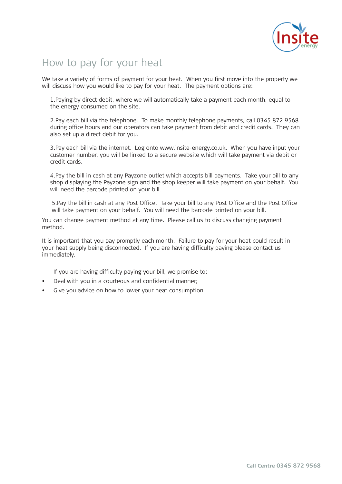

# How to pay for your heat

We take a variety of forms of payment for your heat. When you first move into the property we will discuss how you would like to pay for your heat. The payment options are:

1.Paying by direct debit, where we will automatically take a payment each month, equal to the energy consumed on the site.

2.Pay each bill via the telephone. To make monthly telephone payments, call 0345 872 9568 during office hours and our operators can take payment from debit and credit cards. They can also set up a direct debit for you.

3.Pay each bill via the internet. Log onto www.insite-energy.co.uk. When you have input your customer number, you will be linked to a secure website which will take payment via debit or credit cards.

4.Pay the bill in cash at any Payzone outlet which accepts bill payments. Take your bill to any shop displaying the Payzone sign and the shop keeper will take payment on your behalf. You will need the barcode printed on your bill.

5.Pay the bill in cash at any Post Office. Take your bill to any Post Office and the Post Office will take payment on your behalf. You will need the barcode printed on your bill.

You can change payment method at any time. Please call us to discuss changing payment method.

It is important that you pay promptly each month. Failure to pay for your heat could result in your heat supply being disconnected. If you are having difficulty paying please contact us immediately.

If you are having difficulty paying your bill, we promise to:

- Deal with you in a courteous and confidential manner;
- Give you advice on how to lower your heat consumption.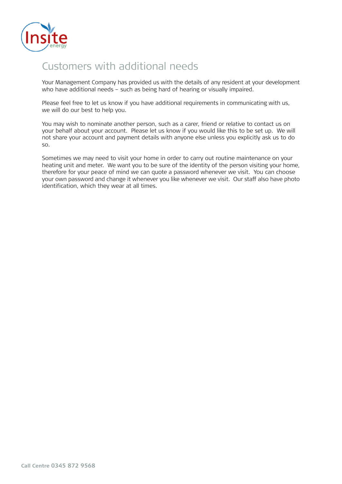

# Customers with additional needs

Your Management Company has provided us with the details of any resident at your development who have additional needs – such as being hard of hearing or visually impaired.

Please feel free to let us know if you have additional requirements in communicating with us, we will do our best to help you.

You may wish to nominate another person, such as a carer, friend or relative to contact us on your behalf about your account. Please let us know if you would like this to be set up. We will not share your account and payment details with anyone else unless you explicitly ask us to do so.

Sometimes we may need to visit your home in order to carry out routine maintenance on your heating unit and meter. We want you to be sure of the identity of the person visiting your home, therefore for your peace of mind we can quote a password whenever we visit. You can choose your own password and change it whenever you like whenever we visit. Our staff also have photo identification, which they wear at all times.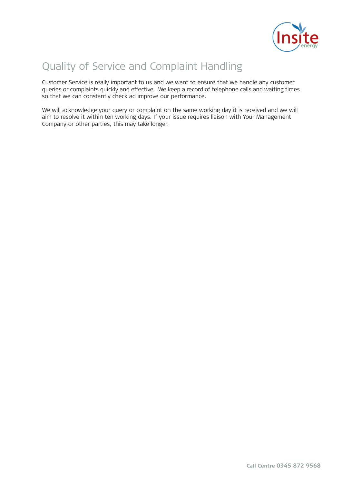

# Quality of Service and Complaint Handling

Customer Service is really important to us and we want to ensure that we handle any customer queries or complaints quickly and effective. We keep a record of telephone calls and waiting times so that we can constantly check ad improve our performance.

We will acknowledge your query or complaint on the same working day it is received and we will aim to resolve it within ten working days. If your issue requires liaison with Your Management Company or other parties, this may take longer.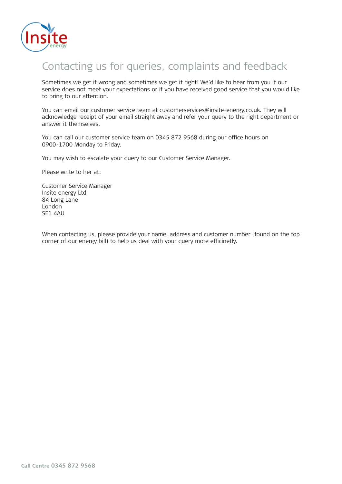

#### Contacting us for queries, complaints and feedback

Sometimes we get it wrong and sometimes we get it right! We'd like to hear from you if our service does not meet your expectations or if you have received good service that you would like to bring to our attention.

You can email our customer service team at customerservices@insite-energy.co.uk. They will acknowledge receipt of your email straight away and refer your query to the right department or answer it themselves.

You can call our customer service team on 0345 872 9568 during our office hours on 0900-1700 Monday to Friday.

You may wish to escalate your query to our Customer Service Manager.

Please write to her at:

Customer Service Manager Insite energy Ltd 84 Long Lane London SE1 4AU

When contacting us, please provide your name, address and customer number (found on the top corner of our energy bill) to help us deal with your query more efficinetly.